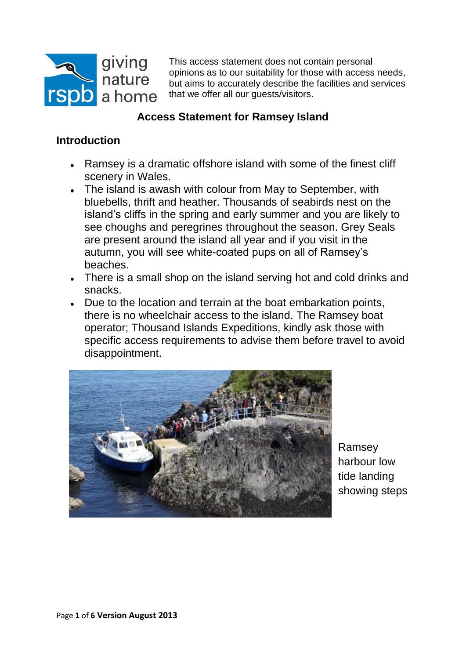

This access statement does not contain personal opinions as to our suitability for those with access needs, but aims to accurately describe the facilities and services that we offer all our guests/visitors.

# **Access Statement for Ramsey Island**

## **Introduction**

- Ramsey is a dramatic offshore island with some of the finest cliff scenery in Wales.
- The island is awash with colour from May to September, with bluebells, thrift and heather. Thousands of seabirds nest on the island's cliffs in the spring and early summer and you are likely to see choughs and peregrines throughout the season. Grey Seals are present around the island all year and if you visit in the autumn, you will see white-coated pups on all of Ramsey's beaches.
- There is a small shop on the island serving hot and cold drinks and snacks.
- Due to the location and terrain at the boat embarkation points, there is no wheelchair access to the island. The Ramsey boat operator; Thousand Islands Expeditions, kindly ask those with specific access requirements to advise them before travel to avoid disappointment.



Ramsey harbour low tide landing showing steps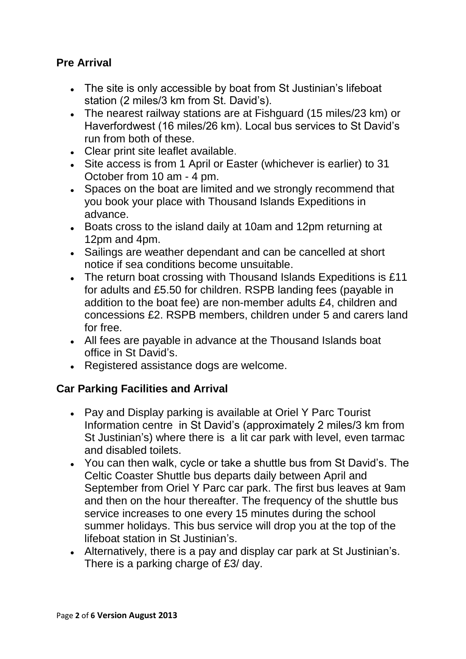# **Pre Arrival**

- The site is only accessible by boat from St Justinian's lifeboat station (2 miles/3 km from St. David's).
- The nearest railway stations are at Fishguard (15 miles/23 km) or Haverfordwest (16 miles/26 km). Local bus services to St David's run from both of these.
- Clear print site leaflet available.
- Site access is from 1 April or Easter (whichever is earlier) to 31 October from 10 am - 4 pm.
- Spaces on the boat are limited and we strongly recommend that you book your place with Thousand Islands Expeditions in advance.
- Boats cross to the island daily at 10am and 12pm returning at 12pm and 4pm.
- Sailings are weather dependant and can be cancelled at short notice if sea conditions become unsuitable.
- The return boat crossing with Thousand Islands Expeditions is £11 for adults and £5.50 for children. RSPB landing fees (payable in addition to the boat fee) are non-member adults £4, children and concessions £2. RSPB members, children under 5 and carers land for free.
- All fees are payable in advance at the Thousand Islands boat office in St David's.
- Registered assistance dogs are welcome.

#### **Car Parking Facilities and Arrival**

- Pay and Display parking is available at Oriel Y Parc Tourist Information centre in St David's (approximately 2 miles/3 km from St Justinian's) where there is a lit car park with level, even tarmac and disabled toilets.
- You can then walk, cycle or take a shuttle bus from St David's. The Celtic Coaster Shuttle bus departs daily between April and September from Oriel Y Parc car park. The first bus leaves at 9am and then on the hour thereafter. The frequency of the shuttle bus service increases to one every 15 minutes during the school summer holidays. This bus service will drop you at the top of the lifeboat station in St Justinian's.
- Alternatively, there is a pay and display car park at St Justinian's. There is a parking charge of £3/ day.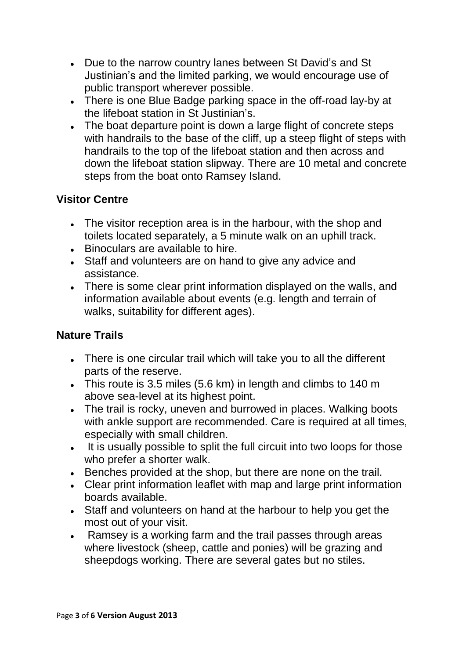- Due to the narrow country lanes between St David's and St Justinian's and the limited parking, we would encourage use of public transport wherever possible.
- There is one Blue Badge parking space in the off-road lay-by at the lifeboat station in St Justinian's.
- The boat departure point is down a large flight of concrete steps with handrails to the base of the cliff, up a steep flight of steps with handrails to the top of the lifeboat station and then across and down the lifeboat station slipway. There are 10 metal and concrete steps from the boat onto Ramsey Island.

## **Visitor Centre**

- The visitor reception area is in the harbour, with the shop and toilets located separately, a 5 minute walk on an uphill track.
- Binoculars are available to hire.
- Staff and volunteers are on hand to give any advice and assistance.
- There is some clear print information displayed on the walls, and information available about events (e.g. length and terrain of walks, suitability for different ages).

#### **Nature Trails**

- There is one circular trail which will take you to all the different parts of the reserve.
- This route is 3.5 miles (5.6 km) in length and climbs to 140 m above sea-level at its highest point.
- The trail is rocky, uneven and burrowed in places. Walking boots with ankle support are recommended. Care is required at all times, especially with small children.
- It is usually possible to split the full circuit into two loops for those who prefer a shorter walk.
- Benches provided at the shop, but there are none on the trail.
- Clear print information leaflet with map and large print information boards available.
- Staff and volunteers on hand at the harbour to help you get the most out of your visit.
- Ramsey is a working farm and the trail passes through areas where livestock (sheep, cattle and ponies) will be grazing and sheepdogs working. There are several gates but no stiles.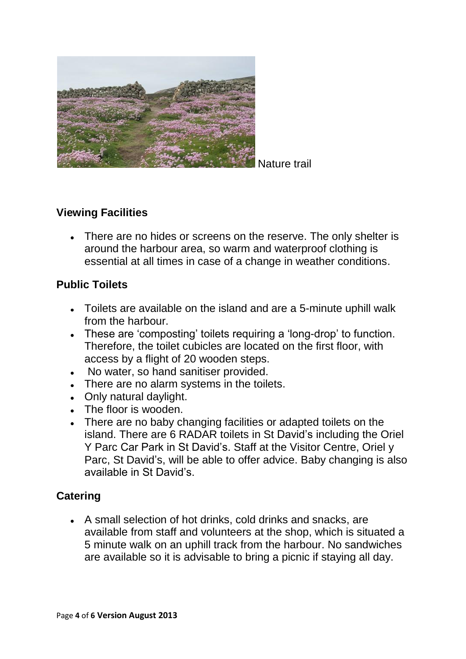

Nature trail

### **Viewing Facilities**

There are no hides or screens on the reserve. The only shelter is around the harbour area, so warm and waterproof clothing is essential at all times in case of a change in weather conditions.

## **Public Toilets**

- Toilets are available on the island and are a 5-minute uphill walk from the harbour.
- These are 'composting' toilets requiring a 'long-drop' to function. Therefore, the toilet cubicles are located on the first floor, with access by a flight of 20 wooden steps.
- No water, so hand sanitiser provided.
- There are no alarm systems in the toilets.
- Only natural daylight.
- The floor is wooden.
- There are no baby changing facilities or adapted toilets on the island. There are 6 RADAR toilets in St David's including the Oriel Y Parc Car Park in St David's. Staff at the Visitor Centre, Oriel y Parc, St David's, will be able to offer advice. Baby changing is also available in St David's.

#### **Catering**

A small selection of hot drinks, cold drinks and snacks, are available from staff and volunteers at the shop, which is situated a 5 minute walk on an uphill track from the harbour. No sandwiches are available so it is advisable to bring a picnic if staying all day.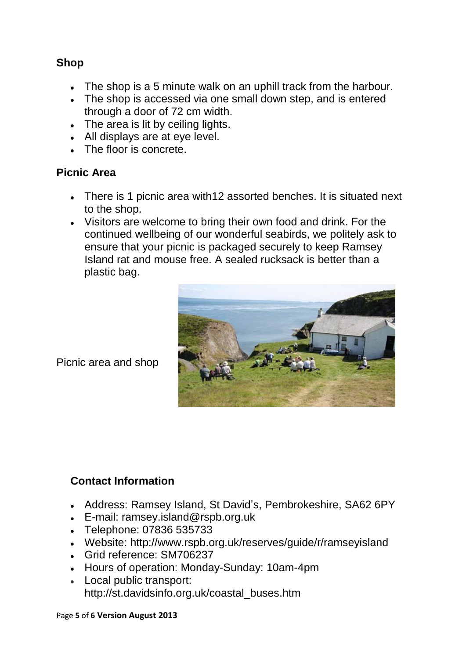### **Shop**

- The shop is a 5 minute walk on an uphill track from the harbour.
- The shop is accessed via one small down step, and is entered through a door of 72 cm width.
- The area is lit by ceiling lights.
- All displays are at eye level.
- The floor is concrete.

### **Picnic Area**

- There is 1 picnic area with12 assorted benches. It is situated next to the shop.
- Visitors are welcome to bring their own food and drink. For the continued wellbeing of our wonderful seabirds, we politely ask to ensure that your picnic is packaged securely to keep Ramsey Island rat and mouse free. A sealed rucksack is better than a plastic bag.



Picnic area and shop

# **Contact Information**

- Address: Ramsey Island, St David's, Pembrokeshire, [SA62 6PY](http://maps.google.co.uk/maps?q=sa626py)
- [E-mail: ramsey.island@rspb.org.uk](mailto:E-mail:%20ramsey@rspb.org.uk)
- [Telephone:](mailto:E-mail:%20ramsey@rspb.org.uk) 07836 535733
- Website: http://www.rspb.org.uk/reserves/guide/r/ramseyisland
- Grid reference: SM706237
- Hours of operation: Monday-Sunday: 10am-4pm
- Local public transport: http://st.davidsinfo.org.uk/coastal\_buses.htm